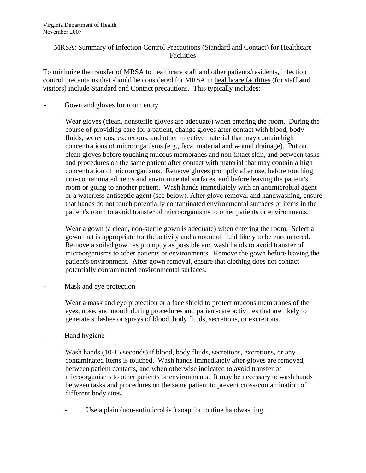## MRSA: Summary of Infection Control Precautions (Standard and Contact) for Healthcare **Facilities**

To minimize the transfer of MRSA to healthcare staff and other patients/residents, infection control precautions that should be considered for MRSA in healthcare facilities (for staff **and** visitors) include Standard and Contact precautions. This typically includes:

Gown and gloves for room entry

Wear gloves (clean, nonsterile gloves are adequate) when entering the room. During the course of providing care for a patient, change gloves after contact with blood, body fluids, secretions, excretions, and other infective material that may contain high concentrations of microorganisms (e.g., fecal material and wound drainage). Put on clean gloves before touching mucous membranes and non-intact skin, and between tasks and procedures on the same patient after contact with material that may contain a high concentration of microorganisms. Remove gloves promptly after use, before touching non-contaminated items and environmental surfaces, and before leaving the patient's room or going to another patient. Wash hands immediately with an antimicrobial agent or a waterless antiseptic agent (see below). After glove removal and handwashing, ensure that hands do not touch potentially contaminated environmental surfaces or items in the patient's room to avoid transfer of microorganisms to other patients or environments.

Wear a gown (a clean, non-sterile gown is adequate) when entering the room. Select a gown that is appropriate for the activity and amount of fluid likely to be encountered. Remove a soiled gown as promptly as possible and wash hands to avoid transfer of microorganisms to other patients or environments. Remove the gown before leaving the patient's environment. After gown removal, ensure that clothing does not contact potentially contaminated environmental surfaces.

Mask and eye protection

Wear a mask and eye protection or a face shield to protect mucous membranes of the eyes, nose, and mouth during procedures and patient-care activities that are likely to generate splashes or sprays of blood, body fluids, secretions, or excretions.

Hand hygiene

Wash hands (10-15 seconds) if blood, body fluids, secretions, excretions, or any contaminated items is touched. Wash hands immediately after gloves are removed, between patient contacts, and when otherwise indicated to avoid transfer of microorganisms to other patients or environments. It may be necessary to wash hands between tasks and procedures on the same patient to prevent cross-contamination of different body sites.

Use a plain (non-antimicrobial) soap for routine handwashing.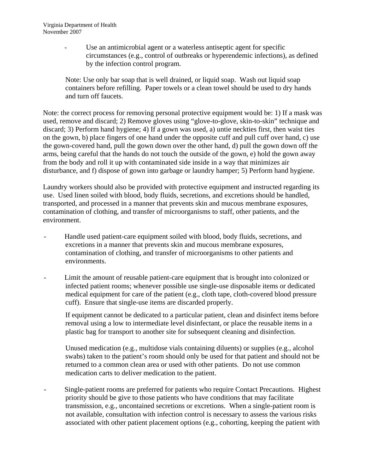Use an antimicrobial agent or a waterless antiseptic agent for specific circumstances (e.g., control of outbreaks or hyperendemic infections), as defined by the infection control program.

Note: Use only bar soap that is well drained, or liquid soap. Wash out liquid soap containers before refilling. Paper towels or a clean towel should be used to dry hands and turn off faucets.

Note: the correct process for removing personal protective equipment would be: 1) If a mask was used, remove and discard; 2) Remove gloves using "glove-to-glove, skin-to-skin" technique and discard; 3) Perform hand hygiene; 4) If a gown was used, a) untie neckties first, then waist ties on the gown, b) place fingers of one hand under the opposite cuff and pull cuff over hand, c) use the gown-covered hand, pull the gown down over the other hand, d) pull the gown down off the arms, being careful that the hands do not touch the outside of the gown, e) hold the gown away from the body and roll it up with contaminated side inside in a way that minimizes air disturbance, and f) dispose of gown into garbage or laundry hamper; 5) Perform hand hygiene.

Laundry workers should also be provided with protective equipment and instructed regarding its use. Used linen soiled with blood, body fluids, secretions, and excretions should be handled, transported, and processed in a manner that prevents skin and mucous membrane exposures, contamination of clothing, and transfer of microorganisms to staff, other patients, and the environment.

- Handle used patient-care equipment soiled with blood, body fluids, secretions, and excretions in a manner that prevents skin and mucous membrane exposures, contamination of clothing, and transfer of microorganisms to other patients and environments.
- Limit the amount of reusable patient-care equipment that is brought into colonized or infected patient rooms; whenever possible use single-use disposable items or dedicated medical equipment for care of the patient (e.g., cloth tape, cloth-covered blood pressure cuff). Ensure that single-use items are discarded properly.

If equipment cannot be dedicated to a particular patient, clean and disinfect items before removal using a low to intermediate level disinfectant, or place the reusable items in a plastic bag for transport to another site for subsequent cleaning and disinfection.

Unused medication (e.g., multidose vials containing diluents) or supplies (e.g., alcohol swabs) taken to the patient's room should only be used for that patient and should not be returned to a common clean area or used with other patients. Do not use common medication carts to deliver medication to the patient.

- Single-patient rooms are preferred for patients who require Contact Precautions. Highest priority should be give to those patients who have conditions that may facilitate transmission, e.g., uncontained secretions or excretions. When a single-patient room is not available, consultation with infection control is necessary to assess the various risks associated with other patient placement options (e.g., cohorting, keeping the patient with